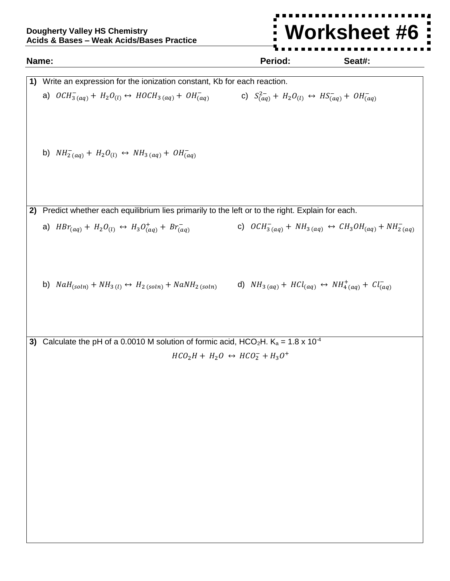## **Worksheet #6** $\frac{1}{2}$

| Name: |                                                                                                                                                      | Period:                                                                            | Seat#: |
|-------|------------------------------------------------------------------------------------------------------------------------------------------------------|------------------------------------------------------------------------------------|--------|
| 1)    | Write an expression for the ionization constant, Kb for each reaction.                                                                               |                                                                                    |        |
|       | a) $OCH_{3(aq)}^- + H_2O_{(l)} \leftrightarrow HOCH_{3(aq)} + OH_{(aq)}^-$ c) $S_{(aq)}^{2-} + H_2O_{(l)} \leftrightarrow HS_{(aq)}^- + OH_{(aq)}^-$ |                                                                                    |        |
|       | b) $NH_{2(aq)}^- + H_2O_{(l)} \leftrightarrow NH_{3(aq)} + OH_{(aq)}^-$                                                                              |                                                                                    |        |
|       | 2) Predict whether each equilibrium lies primarily to the left or to the right. Explain for each.                                                    |                                                                                    |        |
|       |                                                                                                                                                      |                                                                                    |        |
|       | a) $HBr_{(aq)} + H_2O_{(l)} \leftrightarrow H_3O_{(aq)}^+ + Br_{(aq)}^-$                                                                             | c) $OCH_{3(aq)}^{-} + NH_{3(aq)} \leftrightarrow CH_{3}OH_{(aq)} + NH_{2(aq)}^{-}$ |        |
|       | b) $N a H_{(soln)} + N H_{3(l)} \leftrightarrow H_{2 (soln)} + N a N H_{2 (soln)}$                                                                   | d) $NH_{3}(aq) + HCl_{(aq)} \leftrightarrow NH_{4}^{+}(aq) + Cl_{(aq)}^{-}$        |        |
|       | 3) Calculate the pH of a 0.0010 M solution of formic acid, $HCO2H$ . K <sub>a</sub> = 1.8 x 10 <sup>-4</sup>                                         |                                                                                    |        |
|       |                                                                                                                                                      | $HCO2H + H2O \leftrightarrow HCO2- + H3O+$                                         |        |
|       |                                                                                                                                                      |                                                                                    |        |
|       |                                                                                                                                                      |                                                                                    |        |
|       |                                                                                                                                                      |                                                                                    |        |
|       |                                                                                                                                                      |                                                                                    |        |
|       |                                                                                                                                                      |                                                                                    |        |
|       |                                                                                                                                                      |                                                                                    |        |
|       |                                                                                                                                                      |                                                                                    |        |
|       |                                                                                                                                                      |                                                                                    |        |
|       |                                                                                                                                                      |                                                                                    |        |
|       |                                                                                                                                                      |                                                                                    |        |
|       |                                                                                                                                                      |                                                                                    |        |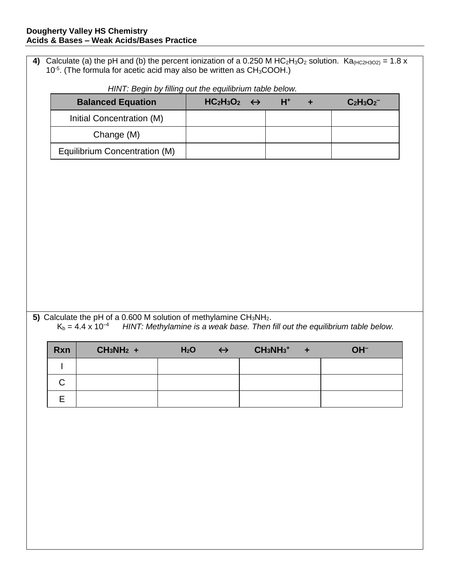- **4)** Calculate (a) the pH and (b) the percent ionization of a 0.250 M  $HC_2H_3O_2$  solution. Ka<sub>(HC2H3O2)</sub> = 1.8 x  $10^{-5}$ . (The formula for acetic acid may also be written as  $CH<sub>3</sub>COOH$ .) *HINT: Begin by filling out the equilibrium table below.*  **Balanced Equation HC2H3O<sup>2</sup> ↔ H<sup>+</sup>+ C2H3O<sup>2</sup> –** Initial Concentration (M) Change (M) Equilibrium Concentration (M)
	- **5)** Calculate the pH of a 0.600 M solution of methylamine CH<sub>3</sub>NH<sub>2</sub>.  $K_b = 4.4 \times 10^{-4}$ *HINT: Methylamine is a weak base. Then fill out the equilibrium table below.*

| Rxn | $CH_3NH_2$ + | H <sub>2</sub> O | $CH3NH3+$ + | OH- |
|-----|--------------|------------------|-------------|-----|
|     |              |                  |             |     |
| ι,  |              |                  |             |     |
| F   |              |                  |             |     |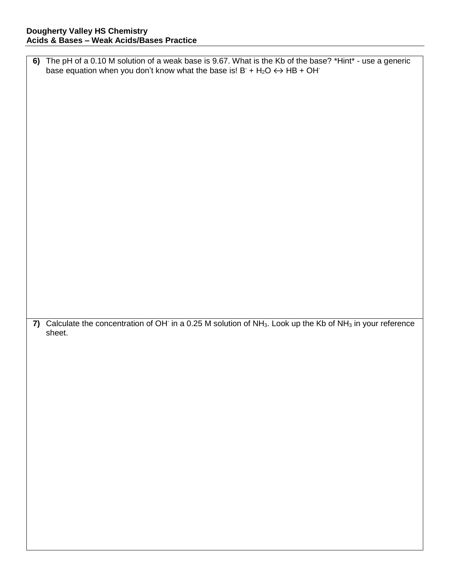|    | 6) The pH of a 0.10 M solution of a weak base is 9.67. What is the Kb of the base? *Hint* - use a generic                       |
|----|---------------------------------------------------------------------------------------------------------------------------------|
|    | base equation when you don't know what the base is! $B^+ + H_2O \leftrightarrow HB + OH^-$                                      |
|    |                                                                                                                                 |
|    |                                                                                                                                 |
|    |                                                                                                                                 |
|    |                                                                                                                                 |
|    |                                                                                                                                 |
|    |                                                                                                                                 |
|    |                                                                                                                                 |
|    |                                                                                                                                 |
|    |                                                                                                                                 |
|    |                                                                                                                                 |
|    |                                                                                                                                 |
|    |                                                                                                                                 |
|    |                                                                                                                                 |
|    |                                                                                                                                 |
|    |                                                                                                                                 |
|    |                                                                                                                                 |
|    |                                                                                                                                 |
|    |                                                                                                                                 |
|    |                                                                                                                                 |
|    |                                                                                                                                 |
|    |                                                                                                                                 |
|    |                                                                                                                                 |
|    |                                                                                                                                 |
| 7) | Calculate the concentration of OH in a 0.25 M solution of NH <sub>3</sub> . Look up the Kb of NH <sub>3</sub> in your reference |
|    | sheet.                                                                                                                          |
|    |                                                                                                                                 |
|    |                                                                                                                                 |
|    |                                                                                                                                 |
|    |                                                                                                                                 |
|    |                                                                                                                                 |
|    |                                                                                                                                 |
|    |                                                                                                                                 |
|    |                                                                                                                                 |
|    |                                                                                                                                 |
|    |                                                                                                                                 |
|    |                                                                                                                                 |
|    |                                                                                                                                 |
|    |                                                                                                                                 |
|    |                                                                                                                                 |
|    |                                                                                                                                 |
|    |                                                                                                                                 |
|    |                                                                                                                                 |
|    |                                                                                                                                 |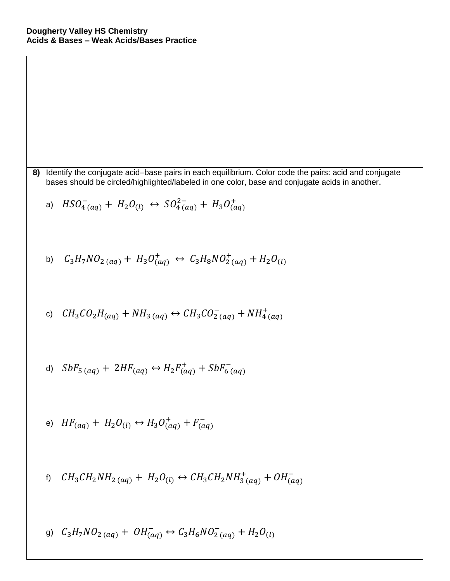**8)** Identify the conjugate acid–base pairs in each equilibrium. Color code the pairs: acid and conjugate bases should be circled/highlighted/labeled in one color, base and conjugate acids in another. a)  $HSO_{4}^{-}(aq) + H_2O_{(l)} \leftrightarrow SO_{4}^{2-}(aq) + H_3O_{(aq)}^{+}$ b)  $C_3H_7NO_{2\ (aq)} + H_3O_{(aq)}^+ \leftrightarrow C_3H_8NO_{2\ (aq)}^+ + H_2O_{(l)}$ c)  $CH_3CO_2H_{(aq)} + NH_{3\ (aq)} \leftrightarrow CH_3CO_{2\ (aq)}^- + NH_{4\ (aq)}^+$ d)  $SbF_{5(aq)} + 2HF_{(aq)} \leftrightarrow H_2F_{(aq)}^+ + SbF_{6(aq)}^$ e)  $HF_{(aq)} + H_2O_{(l)} \leftrightarrow H_3O^+_{(aq)} + F^-_{(aq)}$ f)  $CH_3CH_2NH_{2}(aq) + H_2O_{(l)} \leftrightarrow CH_3CH_2NH_{3}^+(aq) + OH_{(aq)}^$ g)  $C_3H_7NO_{2\ (aq)} + OH_{(aq)}^- \leftrightarrow C_3H_6NO_{2\ (aq)}^- + H_2O_{(l)}$